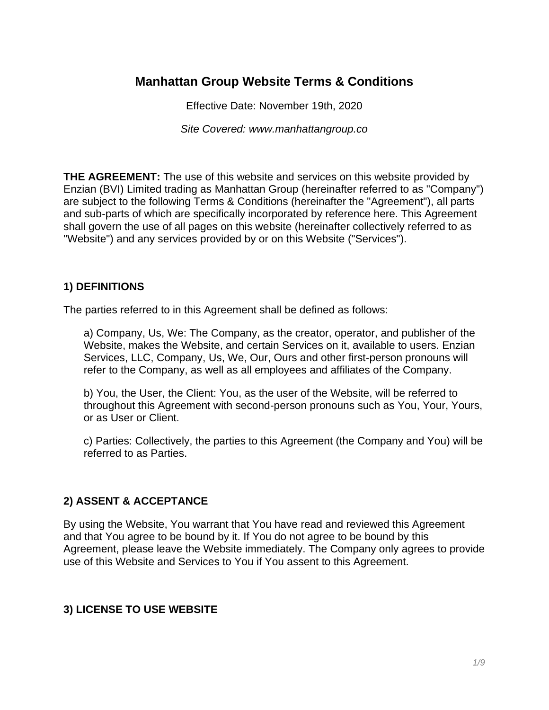# **Manhattan Group Website Terms & Conditions**

Effective Date: November 19th, 2020

*Site Covered: www.manhattangroup.co*

**THE AGREEMENT:** The use of this website and services on this website provided by Enzian (BVI) Limited trading as Manhattan Group (hereinafter referred to as "Company") are subject to the following Terms & Conditions (hereinafter the "Agreement"), all parts and sub-parts of which are specifically incorporated by reference here. This Agreement shall govern the use of all pages on this website (hereinafter collectively referred to as "Website") and any services provided by or on this Website ("Services").

#### **1) DEFINITIONS**

The parties referred to in this Agreement shall be defined as follows:

a) Company, Us, We: The Company, as the creator, operator, and publisher of the Website, makes the Website, and certain Services on it, available to users. Enzian Services, LLC, Company, Us, We, Our, Ours and other first-person pronouns will refer to the Company, as well as all employees and affiliates of the Company.

b) You, the User, the Client: You, as the user of the Website, will be referred to throughout this Agreement with second-person pronouns such as You, Your, Yours, or as User or Client.

c) Parties: Collectively, the parties to this Agreement (the Company and You) will be referred to as Parties.

#### **2) ASSENT & ACCEPTANCE**

By using the Website, You warrant that You have read and reviewed this Agreement and that You agree to be bound by it. If You do not agree to be bound by this Agreement, please leave the Website immediately. The Company only agrees to provide use of this Website and Services to You if You assent to this Agreement.

#### **3) LICENSE TO USE WEBSITE**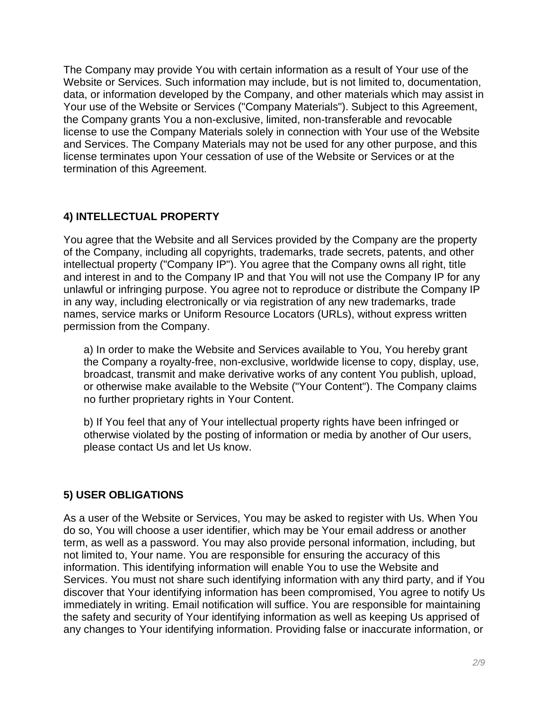The Company may provide You with certain information as a result of Your use of the Website or Services. Such information may include, but is not limited to, documentation, data, or information developed by the Company, and other materials which may assist in Your use of the Website or Services ("Company Materials"). Subject to this Agreement, the Company grants You a non-exclusive, limited, non-transferable and revocable license to use the Company Materials solely in connection with Your use of the Website and Services. The Company Materials may not be used for any other purpose, and this license terminates upon Your cessation of use of the Website or Services or at the termination of this Agreement.

# **4) INTELLECTUAL PROPERTY**

You agree that the Website and all Services provided by the Company are the property of the Company, including all copyrights, trademarks, trade secrets, patents, and other intellectual property ("Company IP"). You agree that the Company owns all right, title and interest in and to the Company IP and that You will not use the Company IP for any unlawful or infringing purpose. You agree not to reproduce or distribute the Company IP in any way, including electronically or via registration of any new trademarks, trade names, service marks or Uniform Resource Locators (URLs), without express written permission from the Company.

a) In order to make the Website and Services available to You, You hereby grant the Company a royalty-free, non-exclusive, worldwide license to copy, display, use, broadcast, transmit and make derivative works of any content You publish, upload, or otherwise make available to the Website ("Your Content"). The Company claims no further proprietary rights in Your Content.

b) If You feel that any of Your intellectual property rights have been infringed or otherwise violated by the posting of information or media by another of Our users, please contact Us and let Us know.

### **5) USER OBLIGATIONS**

As a user of the Website or Services, You may be asked to register with Us. When You do so, You will choose a user identifier, which may be Your email address or another term, as well as a password. You may also provide personal information, including, but not limited to, Your name. You are responsible for ensuring the accuracy of this information. This identifying information will enable You to use the Website and Services. You must not share such identifying information with any third party, and if You discover that Your identifying information has been compromised, You agree to notify Us immediately in writing. Email notification will suffice. You are responsible for maintaining the safety and security of Your identifying information as well as keeping Us apprised of any changes to Your identifying information. Providing false or inaccurate information, or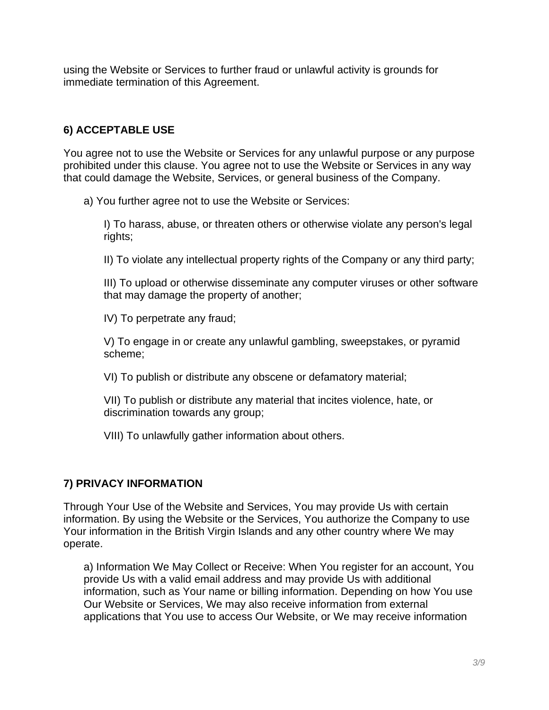using the Website or Services to further fraud or unlawful activity is grounds for immediate termination of this Agreement.

# **6) ACCEPTABLE USE**

You agree not to use the Website or Services for any unlawful purpose or any purpose prohibited under this clause. You agree not to use the Website or Services in any way that could damage the Website, Services, or general business of the Company.

a) You further agree not to use the Website or Services:

I) To harass, abuse, or threaten others or otherwise violate any person's legal rights;

II) To violate any intellectual property rights of the Company or any third party;

III) To upload or otherwise disseminate any computer viruses or other software that may damage the property of another;

IV) To perpetrate any fraud;

V) To engage in or create any unlawful gambling, sweepstakes, or pyramid scheme;

VI) To publish or distribute any obscene or defamatory material;

VII) To publish or distribute any material that incites violence, hate, or discrimination towards any group;

VIII) To unlawfully gather information about others.

# **7) PRIVACY INFORMATION**

Through Your Use of the Website and Services, You may provide Us with certain information. By using the Website or the Services, You authorize the Company to use Your information in the British Virgin Islands and any other country where We may operate.

a) Information We May Collect or Receive: When You register for an account, You provide Us with a valid email address and may provide Us with additional information, such as Your name or billing information. Depending on how You use Our Website or Services, We may also receive information from external applications that You use to access Our Website, or We may receive information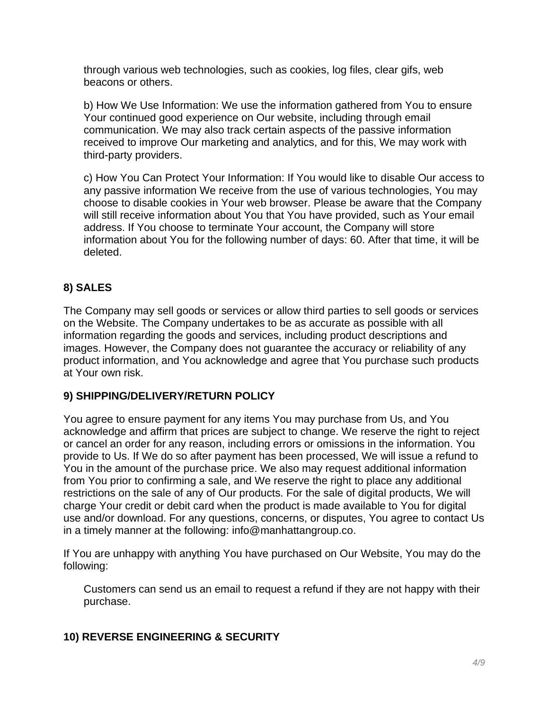through various web technologies, such as cookies, log files, clear gifs, web beacons or others.

b) How We Use Information: We use the information gathered from You to ensure Your continued good experience on Our website, including through email communication. We may also track certain aspects of the passive information received to improve Our marketing and analytics, and for this, We may work with third-party providers.

c) How You Can Protect Your Information: If You would like to disable Our access to any passive information We receive from the use of various technologies, You may choose to disable cookies in Your web browser. Please be aware that the Company will still receive information about You that You have provided, such as Your email address. If You choose to terminate Your account, the Company will store information about You for the following number of days: 60. After that time, it will be deleted.

# **8) SALES**

The Company may sell goods or services or allow third parties to sell goods or services on the Website. The Company undertakes to be as accurate as possible with all information regarding the goods and services, including product descriptions and images. However, the Company does not guarantee the accuracy or reliability of any product information, and You acknowledge and agree that You purchase such products at Your own risk.

### **9) SHIPPING/DELIVERY/RETURN POLICY**

You agree to ensure payment for any items You may purchase from Us, and You acknowledge and affirm that prices are subject to change. We reserve the right to reject or cancel an order for any reason, including errors or omissions in the information. You provide to Us. If We do so after payment has been processed, We will issue a refund to You in the amount of the purchase price. We also may request additional information from You prior to confirming a sale, and We reserve the right to place any additional restrictions on the sale of any of Our products. For the sale of digital products, We will charge Your credit or debit card when the product is made available to You for digital use and/or download. For any questions, concerns, or disputes, You agree to contact Us in a timely manner at the following: info@manhattangroup.co.

If You are unhappy with anything You have purchased on Our Website, You may do the following:

Customers can send us an email to request a refund if they are not happy with their purchase.

### **10) REVERSE ENGINEERING & SECURITY**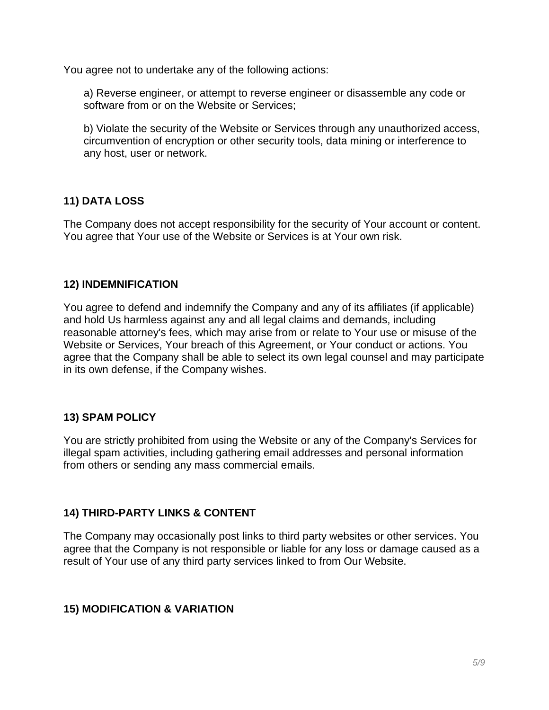You agree not to undertake any of the following actions:

a) Reverse engineer, or attempt to reverse engineer or disassemble any code or software from or on the Website or Services;

b) Violate the security of the Website or Services through any unauthorized access, circumvention of encryption or other security tools, data mining or interference to any host, user or network.

# **11) DATA LOSS**

The Company does not accept responsibility for the security of Your account or content. You agree that Your use of the Website or Services is at Your own risk.

### **12) INDEMNIFICATION**

You agree to defend and indemnify the Company and any of its affiliates (if applicable) and hold Us harmless against any and all legal claims and demands, including reasonable attorney's fees, which may arise from or relate to Your use or misuse of the Website or Services, Your breach of this Agreement, or Your conduct or actions. You agree that the Company shall be able to select its own legal counsel and may participate in its own defense, if the Company wishes.

### **13) SPAM POLICY**

You are strictly prohibited from using the Website or any of the Company's Services for illegal spam activities, including gathering email addresses and personal information from others or sending any mass commercial emails.

### **14) THIRD-PARTY LINKS & CONTENT**

The Company may occasionally post links to third party websites or other services. You agree that the Company is not responsible or liable for any loss or damage caused as a result of Your use of any third party services linked to from Our Website.

### **15) MODIFICATION & VARIATION**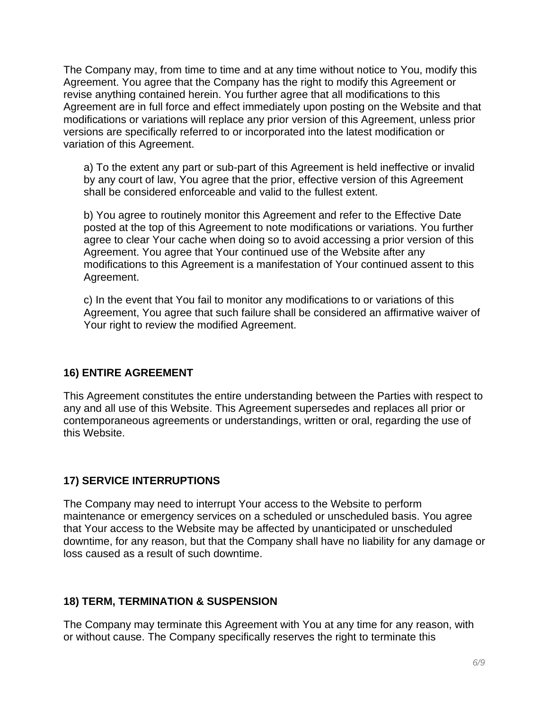The Company may, from time to time and at any time without notice to You, modify this Agreement. You agree that the Company has the right to modify this Agreement or revise anything contained herein. You further agree that all modifications to this Agreement are in full force and effect immediately upon posting on the Website and that modifications or variations will replace any prior version of this Agreement, unless prior versions are specifically referred to or incorporated into the latest modification or variation of this Agreement.

a) To the extent any part or sub-part of this Agreement is held ineffective or invalid by any court of law, You agree that the prior, effective version of this Agreement shall be considered enforceable and valid to the fullest extent.

b) You agree to routinely monitor this Agreement and refer to the Effective Date posted at the top of this Agreement to note modifications or variations. You further agree to clear Your cache when doing so to avoid accessing a prior version of this Agreement. You agree that Your continued use of the Website after any modifications to this Agreement is a manifestation of Your continued assent to this Agreement.

c) In the event that You fail to monitor any modifications to or variations of this Agreement, You agree that such failure shall be considered an affirmative waiver of Your right to review the modified Agreement.

### **16) ENTIRE AGREEMENT**

This Agreement constitutes the entire understanding between the Parties with respect to any and all use of this Website. This Agreement supersedes and replaces all prior or contemporaneous agreements or understandings, written or oral, regarding the use of this Website.

### **17) SERVICE INTERRUPTIONS**

The Company may need to interrupt Your access to the Website to perform maintenance or emergency services on a scheduled or unscheduled basis. You agree that Your access to the Website may be affected by unanticipated or unscheduled downtime, for any reason, but that the Company shall have no liability for any damage or loss caused as a result of such downtime.

### **18) TERM, TERMINATION & SUSPENSION**

The Company may terminate this Agreement with You at any time for any reason, with or without cause. The Company specifically reserves the right to terminate this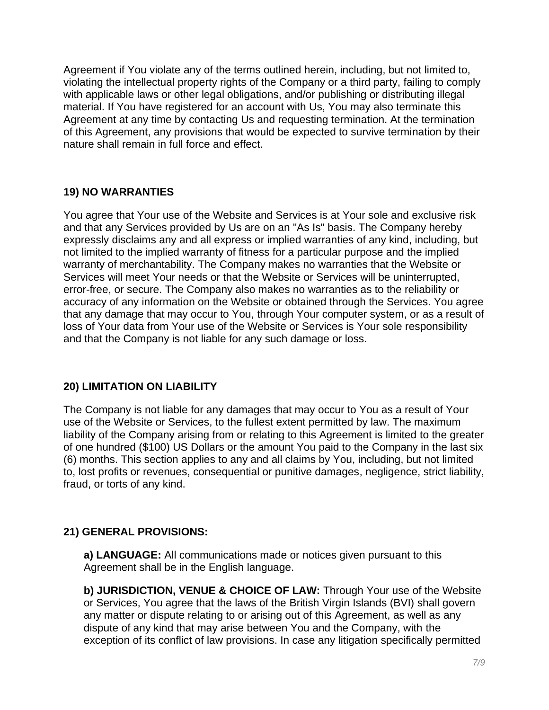Agreement if You violate any of the terms outlined herein, including, but not limited to, violating the intellectual property rights of the Company or a third party, failing to comply with applicable laws or other legal obligations, and/or publishing or distributing illegal material. If You have registered for an account with Us, You may also terminate this Agreement at any time by contacting Us and requesting termination. At the termination of this Agreement, any provisions that would be expected to survive termination by their nature shall remain in full force and effect.

# **19) NO WARRANTIES**

You agree that Your use of the Website and Services is at Your sole and exclusive risk and that any Services provided by Us are on an "As Is" basis. The Company hereby expressly disclaims any and all express or implied warranties of any kind, including, but not limited to the implied warranty of fitness for a particular purpose and the implied warranty of merchantability. The Company makes no warranties that the Website or Services will meet Your needs or that the Website or Services will be uninterrupted, error-free, or secure. The Company also makes no warranties as to the reliability or accuracy of any information on the Website or obtained through the Services. You agree that any damage that may occur to You, through Your computer system, or as a result of loss of Your data from Your use of the Website or Services is Your sole responsibility and that the Company is not liable for any such damage or loss.

### **20) LIMITATION ON LIABILITY**

The Company is not liable for any damages that may occur to You as a result of Your use of the Website or Services, to the fullest extent permitted by law. The maximum liability of the Company arising from or relating to this Agreement is limited to the greater of one hundred (\$100) US Dollars or the amount You paid to the Company in the last six (6) months. This section applies to any and all claims by You, including, but not limited to, lost profits or revenues, consequential or punitive damages, negligence, strict liability, fraud, or torts of any kind.

### **21) GENERAL PROVISIONS:**

**a) LANGUAGE:** All communications made or notices given pursuant to this Agreement shall be in the English language.

**b) JURISDICTION, VENUE & CHOICE OF LAW:** Through Your use of the Website or Services, You agree that the laws of the British Virgin Islands (BVI) shall govern any matter or dispute relating to or arising out of this Agreement, as well as any dispute of any kind that may arise between You and the Company, with the exception of its conflict of law provisions. In case any litigation specifically permitted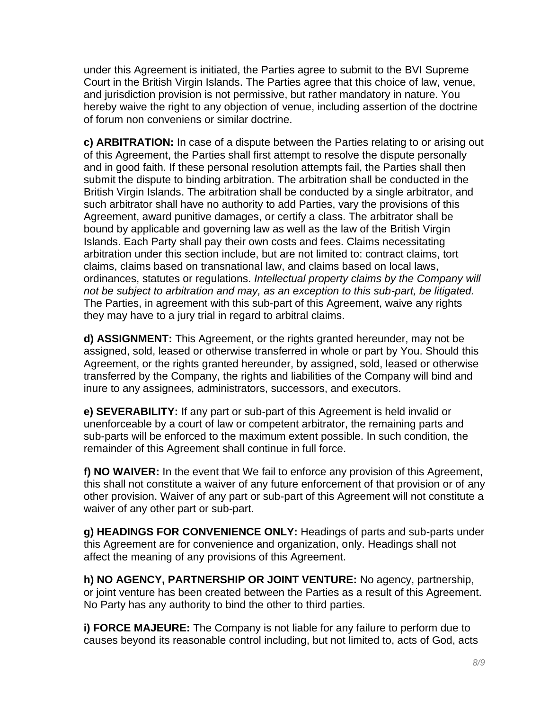under this Agreement is initiated, the Parties agree to submit to the BVI Supreme Court in the British Virgin Islands. The Parties agree that this choice of law, venue, and jurisdiction provision is not permissive, but rather mandatory in nature. You hereby waive the right to any objection of venue, including assertion of the doctrine of forum non conveniens or similar doctrine.

**c) ARBITRATION:** In case of a dispute between the Parties relating to or arising out of this Agreement, the Parties shall first attempt to resolve the dispute personally and in good faith. If these personal resolution attempts fail, the Parties shall then submit the dispute to binding arbitration. The arbitration shall be conducted in the British Virgin Islands. The arbitration shall be conducted by a single arbitrator, and such arbitrator shall have no authority to add Parties, vary the provisions of this Agreement, award punitive damages, or certify a class. The arbitrator shall be bound by applicable and governing law as well as the law of the British Virgin Islands. Each Party shall pay their own costs and fees. Claims necessitating arbitration under this section include, but are not limited to: contract claims, tort claims, claims based on transnational law, and claims based on local laws, ordinances, statutes or regulations. *Intellectual property claims by the Company will not be subject to arbitration and may, as an exception to this sub-part, be litigated.* The Parties, in agreement with this sub-part of this Agreement, waive any rights they may have to a jury trial in regard to arbitral claims.

**d) ASSIGNMENT:** This Agreement, or the rights granted hereunder, may not be assigned, sold, leased or otherwise transferred in whole or part by You. Should this Agreement, or the rights granted hereunder, by assigned, sold, leased or otherwise transferred by the Company, the rights and liabilities of the Company will bind and inure to any assignees, administrators, successors, and executors.

**e) SEVERABILITY:** If any part or sub-part of this Agreement is held invalid or unenforceable by a court of law or competent arbitrator, the remaining parts and sub-parts will be enforced to the maximum extent possible. In such condition, the remainder of this Agreement shall continue in full force.

**f) NO WAIVER:** In the event that We fail to enforce any provision of this Agreement, this shall not constitute a waiver of any future enforcement of that provision or of any other provision. Waiver of any part or sub-part of this Agreement will not constitute a waiver of any other part or sub-part.

**g) HEADINGS FOR CONVENIENCE ONLY:** Headings of parts and sub-parts under this Agreement are for convenience and organization, only. Headings shall not affect the meaning of any provisions of this Agreement.

**h) NO AGENCY, PARTNERSHIP OR JOINT VENTURE:** No agency, partnership, or joint venture has been created between the Parties as a result of this Agreement. No Party has any authority to bind the other to third parties.

**i) FORCE MAJEURE:** The Company is not liable for any failure to perform due to causes beyond its reasonable control including, but not limited to, acts of God, acts